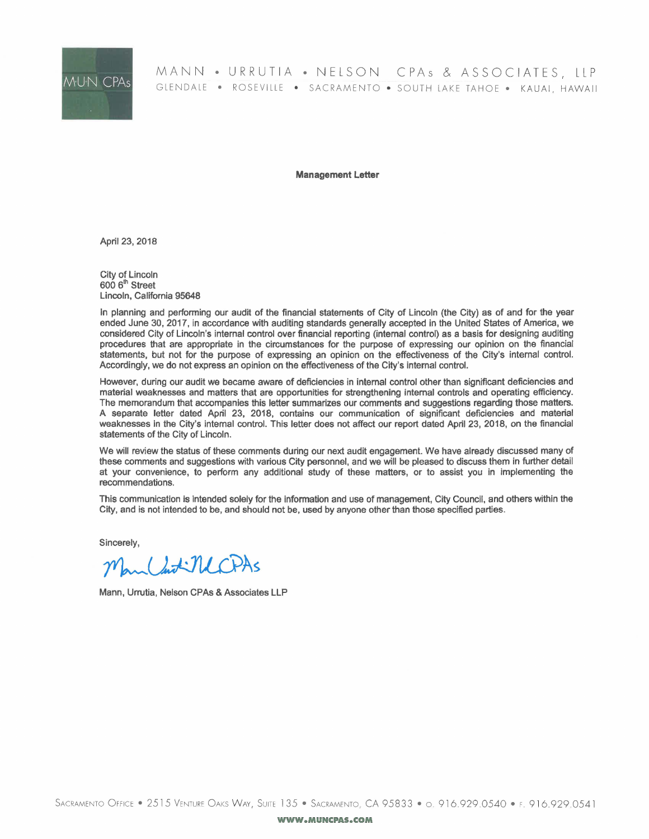

# MANN • URRUTIA • NELSON CPAs & ASSOCIATES, LLP GLENDALE • ROSEVILLE • SACRAMENTO • SOUTH LAKE TAHOE • KAUAI, HAWAII

Management letter

April 23, 2018

City of Lincoln  $6006<sup>th</sup> Street$ Lincoln, California 95648

In planning and performing our audit of the financial statements of City of Lincoln (the City) as of and for the year ended June 30, 2017, in accordance with auditing standards generally accepted in the United States of America, we considered City of Lincoln's internal control over financial reporting (internal control) as a basis for designing auditing procedures that are appropriate in the circumstances for the purpose of expressing our opinion on the financial statements, but not for the purpose of expressing an opinion on the effectiveness of the City's internal control. Accordingly, we do not express an opinion on the effectiveness of the City's internal control.

However, during our audit we became aware of deficiencies in internal control other than significant deficiencies and material weaknesses and matters that are opportunities for strengthening internal controls and operating efficiency. The memorandum that accompanies this letter summarizes our comments and suggestions regarding those matters. A separate Jetter dated April 23, 2018, contains our communication of significant deficiencies and material weaknesses in the City's internal control. This letter does not affect our report dated April 23, 2018, on the financial statements of the City of Lincoln.

We will review the status of these comments during our next audit engagement. We have already discussed many of these comments and suggestions with various City personnel, and we will be pleased to discuss them in further detail at your convenience, to perform any additional study of these matters, or to assist you in implementing the recommendations.

This communication is intended solely for the information and use of management, City Council, and others within the City, and is not intended to be, and should not be, used by anyone other than those specified parties.

Sincerely,

May Chit NCPAS

Mann, Urrutia, Nelson CPAs & Associates LLP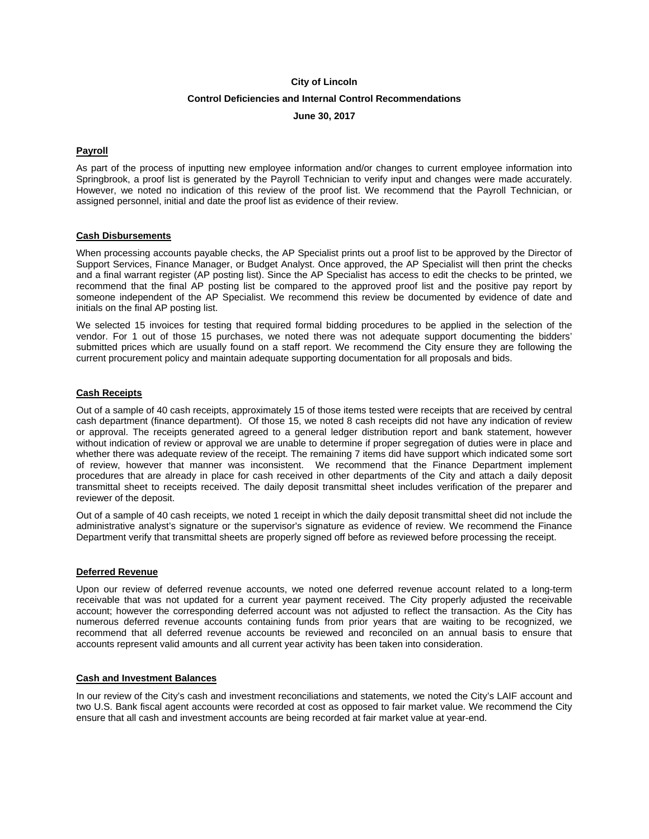# **City of Lincoln**

# **Control Deficiencies and Internal Control Recommendations**

**June 30, 2017** 

## **Payroll**

As part of the process of inputting new employee information and/or changes to current employee information into Springbrook, a proof list is generated by the Payroll Technician to verify input and changes were made accurately. However, we noted no indication of this review of the proof list. We recommend that the Payroll Technician, or assigned personnel, initial and date the proof list as evidence of their review.

#### **Cash Disbursements**

When processing accounts payable checks, the AP Specialist prints out a proof list to be approved by the Director of Support Services, Finance Manager, or Budget Analyst. Once approved, the AP Specialist will then print the checks and a final warrant register (AP posting list). Since the AP Specialist has access to edit the checks to be printed, we recommend that the final AP posting list be compared to the approved proof list and the positive pay report by someone independent of the AP Specialist. We recommend this review be documented by evidence of date and initials on the final AP posting list.

We selected 15 invoices for testing that required formal bidding procedures to be applied in the selection of the vendor. For 1 out of those 15 purchases, we noted there was not adequate support documenting the bidders' submitted prices which are usually found on a staff report. We recommend the City ensure they are following the current procurement policy and maintain adequate supporting documentation for all proposals and bids.

### **Cash Receipts**

Out of a sample of 40 cash receipts, approximately 15 of those items tested were receipts that are received by central cash department (finance department). Of those 15, we noted 8 cash receipts did not have any indication of review or approval. The receipts generated agreed to a general ledger distribution report and bank statement, however without indication of review or approval we are unable to determine if proper segregation of duties were in place and whether there was adequate review of the receipt. The remaining 7 items did have support which indicated some sort of review, however that manner was inconsistent. We recommend that the Finance Department implement procedures that are already in place for cash received in other departments of the City and attach a daily deposit transmittal sheet to receipts received. The daily deposit transmittal sheet includes verification of the preparer and reviewer of the deposit.

Out of a sample of 40 cash receipts, we noted 1 receipt in which the daily deposit transmittal sheet did not include the administrative analyst's signature or the supervisor's signature as evidence of review. We recommend the Finance Department verify that transmittal sheets are properly signed off before as reviewed before processing the receipt.

#### **Deferred Revenue**

Upon our review of deferred revenue accounts, we noted one deferred revenue account related to a long-term receivable that was not updated for a current year payment received. The City properly adjusted the receivable account; however the corresponding deferred account was not adjusted to reflect the transaction. As the City has numerous deferred revenue accounts containing funds from prior years that are waiting to be recognized, we recommend that all deferred revenue accounts be reviewed and reconciled on an annual basis to ensure that accounts represent valid amounts and all current year activity has been taken into consideration.

#### **Cash and Investment Balances**

In our review of the City's cash and investment reconciliations and statements, we noted the City's LAIF account and two U.S. Bank fiscal agent accounts were recorded at cost as opposed to fair market value. We recommend the City ensure that all cash and investment accounts are being recorded at fair market value at year-end.